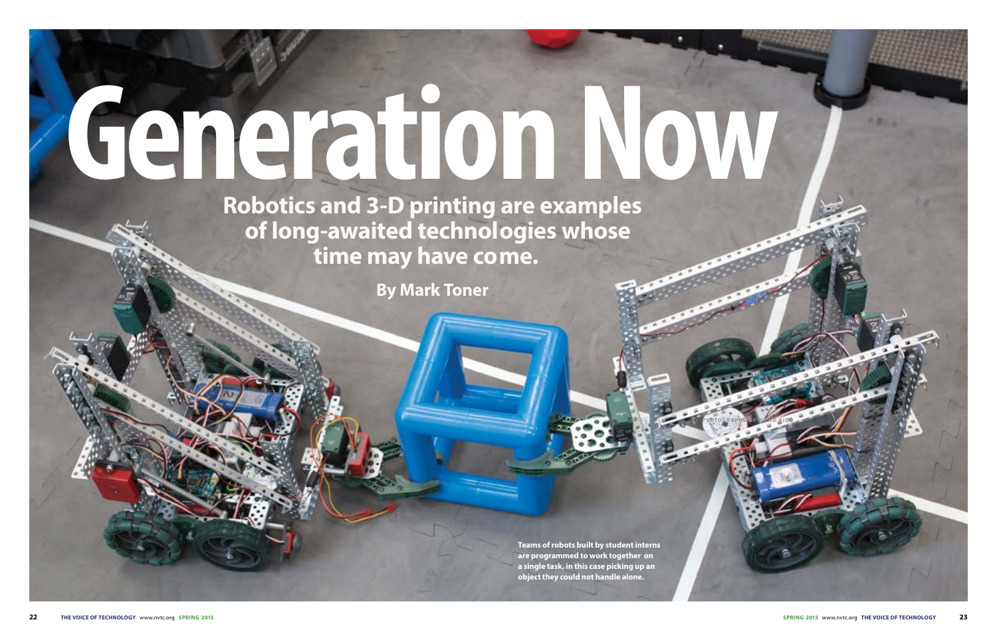

## **Generation Now**

**Robotics and 3-D printing are examples of long-awaited technologies whose time may have come.**

**By Mark Toner**

**Teams of robots built by student interns are programmed to work together on a single task, in this case picking up an object they could not handle alone.**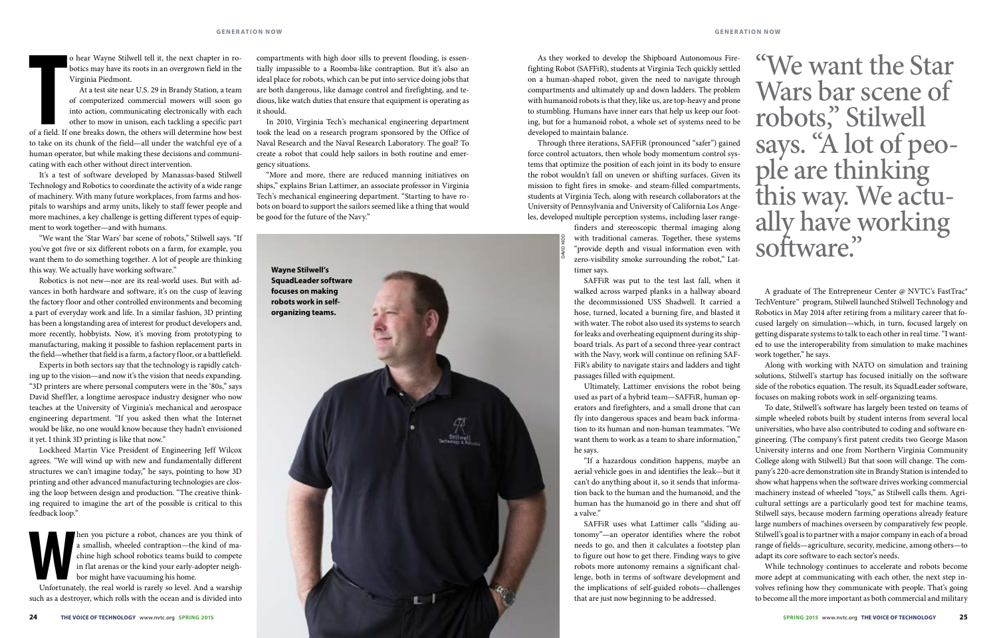o hear Wayne Stilwell tell it, the next chapter in robotics may have its roots in an overgrown field in the Virginia Piedmont.

At a test site near U.S. 29 in Brandy Station, a team of computerized commercial mowers will soon go into action, communicating electronically with each other to mow in unison, each tackling a specific part

of a field. If<br>to take on it of a field. If one breaks down, the others will determine how best to take on its chunk of the field—all under the watchful eye of a human operator, but while making these decisions and communicating with each other without direct intervention.

It's a test of software developed by Manassas-based Stilwell Technology and Robotics to coordinate the activity of a wide range of machinery. With many future workplaces, from farms and hospitals to warships and army units, likely to staff fewer people and more machines, a key challenge is getting different types of equipment to work together—and with humans.

"We want the 'Star Wars' bar scene of robots," Stilwell says. "If you've got five or six different robots on a farm, for example, you want them to do something together. A lot of people are thinking this way. We actually have working software."

**MANUTE IS a smallish, wheeled contraption—the kind of machine high school robotics teams build to compete in flat arenas or the kind your early-adopter neighbor might have vacuuming his home.<br>Unfortunately, the real world** a smallish, wheeled contraption—the kind of machine high school robotics teams build to compete in flat arenas or the kind your early-adopter neighbor might have vacuuming his home.

Robotics is not new—nor are its real-world uses. But with advances in both hardware and software, it's on the cusp of leaving the factory floor and other controlled environments and becoming a part of everyday work and life. In a similar fashion, 3D printing has been a longstanding area of interest for product developers and, more recently, hobbyists. Now, it's moving from prototyping to manufacturing, making it possible to fashion replacement parts in the field—whether that field is a farm, a factory floor, or a battlefield.

Experts in both sectors say that the technology is rapidly catching up to the vision—and now it's the vision that needs expanding. "3D printers are where personal computers were in the '80s," says David Sheffler, a longtime aerospace industry designer who now teaches at the University of Virginia's mechanical and aerospace engineering department. "If you asked then what the Internet would be like, no one would know because they hadn't envisioned it yet. I think 3D printing is like that now."

Lockheed Martin Vice President of Engineering Jeff Wilcox agrees. "We will wind up with new and fundamentally different structures we can't imagine today," he says, pointing to how 3D printing and other advanced manufacturing technologies are closing the loop between design and production. "The creative thinking required to imagine the art of the possible is critical to this feedback loop."

such as a destroyer, which rolls with the ocean and is divided into

compartments with high door sills to prevent flooding, is essentially impassible to a Roomba-like contraption. But it's also an ideal place for robots, which can be put into service doing jobs that are both dangerous, like damage control and firefighting, and tedious, like watch duties that ensure that equipment is operating as it should.

In 2010, Virginia Tech's mechanical engineering department took the lead on a research program sponsored by the Office of Naval Research and the Naval Research Laboratory. The goal? To create a robot that could help sailors in both routine and emergency situations.

"More and more, there are reduced manning initiatives on ships," explains Brian Lattimer, an associate professor in Virginia Tech's mechanical engineering department. "Starting to have robots on board to support the sailors seemed like a thing that would be good for the future of the Navy."

"We want the Star Wars bar scene of robots," Stilwell says. "A lot of peo-<br>ple are thinking this way. We actu-<br>ally have working software."

As they worked to develop the Shipboard Autonomous Firefighting Robot (SAFFiR), students at Virginia Tech quickly settled on a human-shaped robot, given the need to navigate through compartments and ultimately up and down ladders. The problem with humanoid robots is that they, like us, are top-heavy and prone to stumbling. Humans have inner ears that help us keep our footing, but for a humanoid robot, a whole set of systems need to be developed to maintain balance.



Through three iterations, SAFFiR (pronounced "safer") gained force control actuators, then whole body momentum control systems that optimize the position of each joint in its body to ensure the robot wouldn't fall on uneven or shifting surfaces. Given its mission to fight fires in smoke- and steam-filled compartments, students at Virginia Tech, along with research collaborators at the University of Pennsylvania and University of California Los Angeles, developed multiple perception systems, including laser range-

> finders and stereoscopic thermal imaging along with traditional cameras. Together, these systems "provide depth and visual information even with zero-visibility smoke surrounding the robot," Lattimer says.

> SAFFiR was put to the test last fall, when it walked across warped planks in a hallway aboard the decommissioned USS Shadwell. It carried a hose, turned, located a burning fire, and blasted it with water. The robot also used its systems to search for leaks and overheating equipment during its shipboard trials. As part of a second three-year contract with the Navy, work will continue on refining SAF-FiR's ability to navigate stairs and ladders and tight passages filled with equipment.

> Ultimately, Lattimer envisions the robot being used as part of a hybrid team—SAFFiR, human operators and firefighters, and a small drone that can fly into dangerous spaces and beam back information to its human and non-human teammates. "We want them to work as a team to share information," he says.

> "If a hazardous condition happens, maybe an aerial vehicle goes in and identifies the leak—but it can't do anything about it, so it sends that information back to the human and the humanoid, and the human has the humanoid go in there and shut off a valve."

> SAFFiR uses what Lattimer calls "sliding autonomy"—an operator identifies where the robot needs to go, and then it calculates a footstep plan to figure out how to get there. Finding ways to give robots more autonomy remains a significant challenge, both in terms of software development and the implications of self-guided robots—challenges that are just now beginning to be addressed.

A graduate of The Entrepreneur Center @ NVTC's FastTrac® TechVenture™ program, Stilwell launched Stilwell Technology and Robotics in May 2014 after retiring from a military career that focused largely on simulation—which, in turn, focused largely on getting disparate systems to talk to each other in real time. "I wanted to use the interoperability from simulation to make machines work together," he says.

Along with working with NATO on simulation and training solutions, Stilwell's startup has focused initially on the software side of the robotics equation. The result, its SquadLeader software, focuses on making robots work in self-organizing teams.

To date, Stilwell's software has largely been tested on teams of simple wheeled robots built by student interns from several local universities, who have also contributed to coding and software engineering. (The company's first patent credits two George Mason University interns and one from Northern Virginia Community

College along with Stilwell.) But that soon will change. The company's 220-acre demonstration site in Brandy Station is intended to show what happens when the software drives working commercial machinery instead of wheeled "toys," as Stilwell calls them. Agricultural settings are a particularly good test for machine teams, Stilwell says, because modern farming operations already feature large numbers of machines overseen by comparatively few people. Stilwell's goal is to partner with a major company in each of a broad range of fields—agriculture, security, medicine, among others—to adapt its core software to each sector's needs.

While technology continues to accelerate and robots become more adept at communicating with each other, the next step involves refining how they communicate with people. That's going to become all the more important as both commercial and military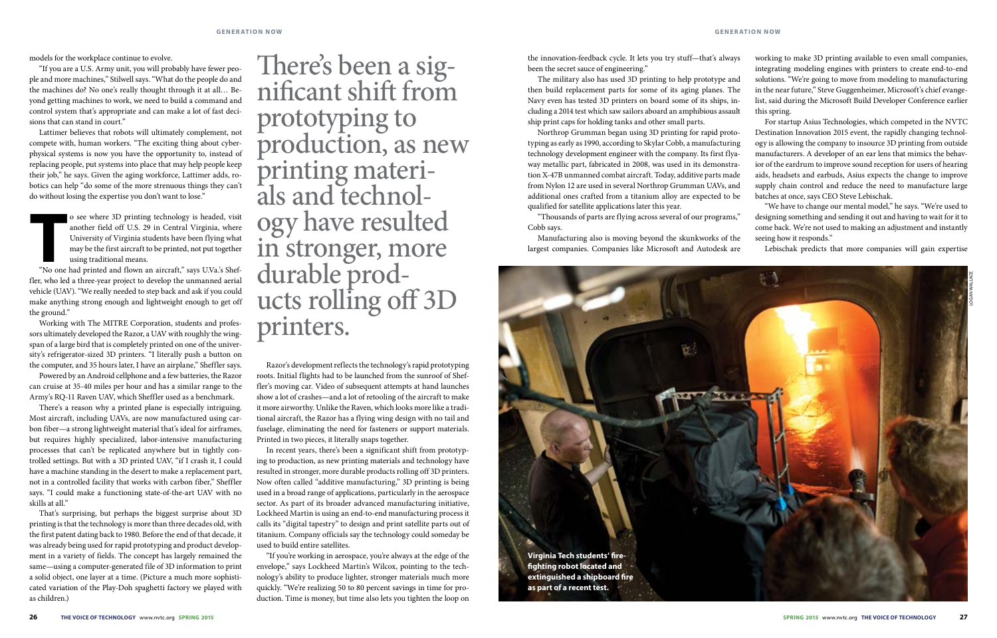models for the workplace continue to evolve.

"If you are a U.S. Army unit, you will probably have fewer people and more machines," Stilwell says. "What do the people do and the machines do? No one's really thought through it at all… Beyond getting machines to work, we need to build a command and control system that's appropriate and can make a lot of fast decisions that can stand in court."

o see where 3D printing technology is headed, visit another field off U.S. 29 in Central Virginia, where University of Virginia students have been flying what may be the first aircraft to be printed, not put together using o see where 3D printing technology is headed, visit another field off U.S. 29 in Central Virginia, where University of Virginia students have been flying what may be the first aircraft to be printed, not put together using traditional means.

Lattimer believes that robots will ultimately complement, not compete with, human workers. "The exciting thing about cyberphysical systems is now you have the opportunity to, instead of replacing people, put systems into place that may help people keep their job," he says. Given the aging workforce, Lattimer adds, robotics can help "do some of the more strenuous things they can't do without losing the expertise you don't want to lose."

fler, who led a three-year project to develop the unmanned aerial vehicle (UAV). "We really needed to step back and ask if you could make anything strong enough and lightweight enough to get off the ground."

Working with The MITRE Corporation, students and professors ultimately developed the Razor, a UAV with roughly the wingspan of a large bird that is completely printed on one of the university's refrigerator-sized 3D printers. "I literally push a button on the computer, and 35 hours later, I have an airplane," Sheffler says.

Powered by an Android cellphone and a few batteries, the Razor can cruise at 35-40 miles per hour and has a similar range to the Army's RQ-11 Raven UAV, which Sheffler used as a benchmark.

There's a reason why a printed plane is especially intriguing. Most aircraft, including UAVs, are now manufactured using carbon fiber—a strong lightweight material that's ideal for airframes, but requires highly specialized, labor-intensive manufacturing processes that can't be replicated anywhere but in tightly controlled settings. But with a 3D printed UAV, "if I crash it, I could have a machine standing in the desert to make a replacement part, not in a controlled facility that works with carbon fiber," Sheffler says. "I could make a functioning state-of-the-art UAV with no skills at all."

That's surprising, but perhaps the biggest surprise about 3D printing is that the technology is more than three decades old, with the first patent dating back to 1980. Before the end of that decade, it was already being used for rapid prototyping and product development in a variety of fields. The concept has largely remained the same—using a computer-generated file of 3D information to print a solid object, one layer at a time. (Picture a much more sophisticated variation of the Play-Doh spaghetti factory we played with as children.)

Razor's development reflects the technology's rapid prototyping roots. Initial flights had to be launched from the sunroof of Sheffler's moving car. Video of subsequent attempts at hand launches show a lot of crashes—and a lot of retooling of the aircraft to make it more airworthy. Unlike the Raven, which looks more like a traditional aircraft, the Razor has a flying wing design with no tail and fuselage, eliminating the need for fasteners or support materials. Printed in two pieces, it literally snaps together.

In recent years, there's been a significant shift from prototyping to production, as new printing materials and technology have resulted in stronger, more durable products rolling off 3D printers. Now often called "additive manufacturing," 3D printing is being used in a broad range of applications, particularly in the aerospace sector. As part of its broader advanced manufacturing initiative, Lockheed Martin is using an end-to-end manufacturing process it calls its "digital tapestry" to design and print satellite parts out of titanium. Company officials say the technology could someday be used to build entire satellites.

"If you're working in aerospace, you're always at the edge of the envelope," says Lockheed Martin's Wilcox, pointing to the technology's ability to produce lighter, stronger materials much more quickly. "We're realizing 50 to 80 percent savings in time for production. Time is money, but time also lets you tighten the loop on

the innovation-feedback cycle. It lets you try stuff—that's always The military also has used 3D printing to help prototype and working to make 3D printing available to even small companies, integrating modeling engines with printers to create end-to-end solutions. "We're going to move from modeling to manufacturing in the near future," Steve Guggenheimer, Microsoft's chief evangelist, said during the Microsoft Build Developer Conference earlier this spring.

been the secret sauce of engineering." then build replacement parts for some of its aging planes. The Navy even has tested 3D printers on board some of its ships, including a 2014 test which saw sailors aboard an amphibious assault ship print caps for holding tanks and other small parts. For startup Asius Technologies, which competed in the NVTC

largest companies. Companies like Microsoft and Autodesk are

Northrop Grumman began using 3D printing for rapid prototyping as early as 1990, according to Skylar Cobb, a manufacturing technology development engineer with the company. Its first flyaway metallic part, fabricated in 2008, was used in its demonstration X-47B unmanned combat aircraft. Today, additive parts made from Nylon 12 are used in several Northrop Grumman UAVs, and additional ones crafted from a titanium alloy are expected to be qualified for satellite applications later this year. Destination Innovation 2015 event, the rapidly changing technology is allowing the company to insource 3D printing from outside manufacturers. A developer of an ear lens that mimics the behavior of the eardrum to improve sound reception for users of hearing aids, headsets and earbuds, Asius expects the change to improve supply chain control and reduce the need to manufacture large batches at once, says CEO Steve Lebischak. "We have to change our mental model," he says. "We're used to

"Thousands of parts are flying across several of our programs," Cobb says. Manufacturing also is moving beyond the skunkworks of the designing something and sending it out and having to wait for it to come back. We're not used to making an adjustment and instantly seeing how it responds."

Lebischak predicts that more companies will gain expertise



There's been a sig- nificant shift from prototyping to production, as new printing materi-<br>als and technol-<br>ogy have resulted in stronger, more durable prod-<br>ucts rolling off 3D printers.